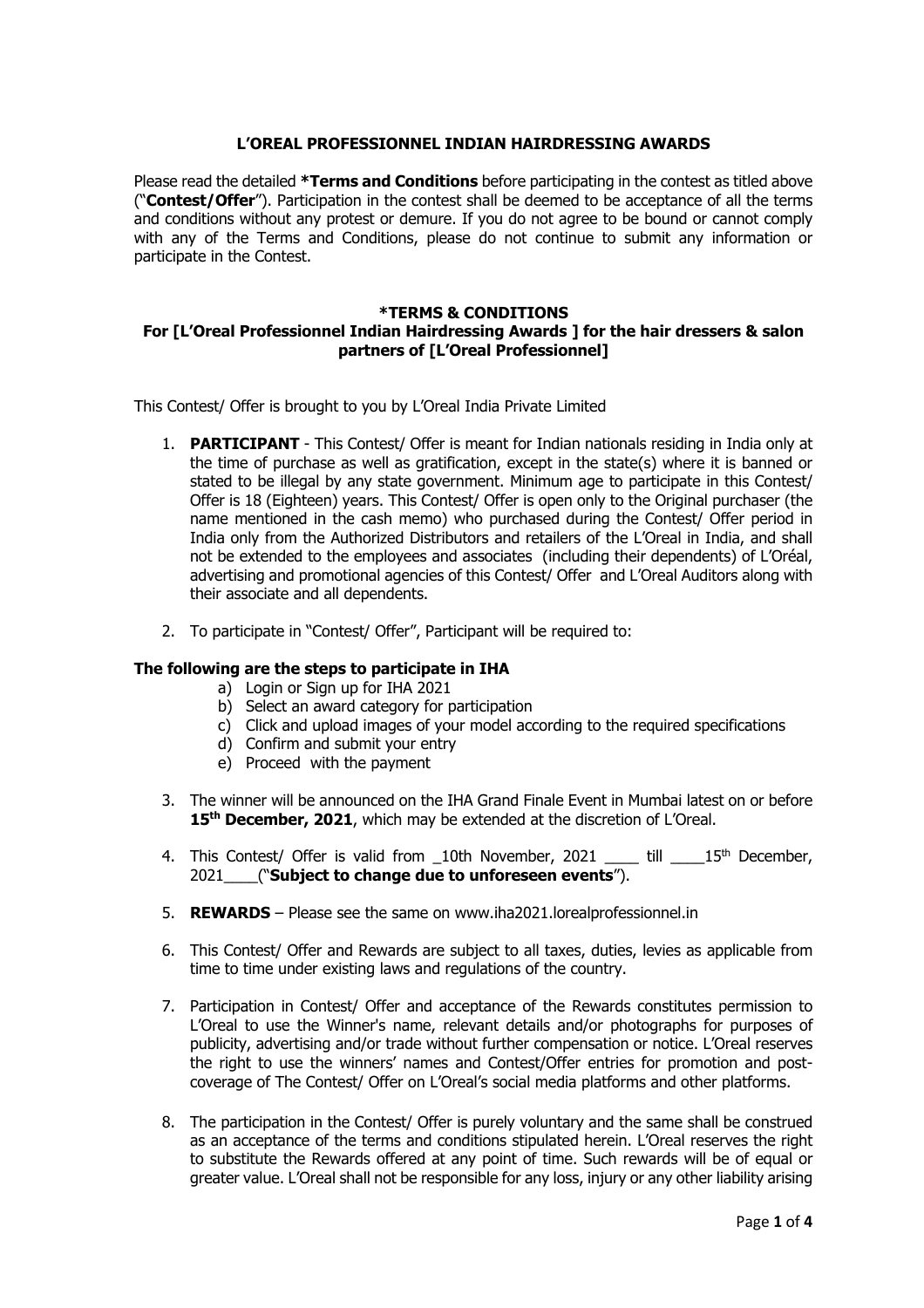#### **L'OREAL PROFESSIONNEL INDIAN HAIRDRESSING AWARDS**

Please read the detailed **\*Terms and Conditions** before participating in the contest as titled above ("**Contest/Offer**"). Participation in the contest shall be deemed to be acceptance of all the terms and conditions without any protest or demure. If you do not agree to be bound or cannot comply with any of the Terms and Conditions, please do not continue to submit any information or participate in the Contest.

#### **\*TERMS & CONDITIONS For [L'Oreal Professionnel Indian Hairdressing Awards ] for the hair dressers & salon partners of [L'Oreal Professionnel]**

This Contest/ Offer is brought to you by L'Oreal India Private Limited

- 1. **PARTICIPANT** This Contest/ Offer is meant for Indian nationals residing in India only at the time of purchase as well as gratification, except in the state(s) where it is banned or stated to be illegal by any state government. Minimum age to participate in this Contest/ Offer is 18 (Eighteen) years. This Contest/ Offer is open only to the Original purchaser (the name mentioned in the cash memo) who purchased during the Contest/ Offer period in India only from the Authorized Distributors and retailers of the L'Oreal in India, and shall not be extended to the employees and associates (including their dependents) of L'Oréal, advertising and promotional agencies of this Contest/ Offer and L'Oreal Auditors along with their associate and all dependents.
- 2. To participate in "Contest/ Offer", Participant will be required to:

# **The following are the steps to participate in IHA**

- a) Login or Sign up for IHA 2021
- b) Select an award category for participation
- c) Click and upload images of your model according to the required specifications
- d) Confirm and submit your entry
- e) Proceed with the payment
- 3. The winner will be announced on the IHA Grand Finale Event in Mumbai latest on or before **15th December, 2021**, which may be extended at the discretion of L'Oreal.
- 4. This Contest/ Offer is valid from \_10th November, 2021 till 15<sup>th</sup> December, 2021\_\_\_\_("**Subject to change due to unforeseen events**").
- 5. **REWARDS** Please see the same on www.iha2021.lorealprofessionnel.in
- 6. This Contest/ Offer and Rewards are subject to all taxes, duties, levies as applicable from time to time under existing laws and regulations of the country.
- 7. Participation in Contest/ Offer and acceptance of the Rewards constitutes permission to L'Oreal to use the Winner's name, relevant details and/or photographs for purposes of publicity, advertising and/or trade without further compensation or notice. L'Oreal reserves the right to use the winners' names and Contest/Offer entries for promotion and postcoverage of The Contest/ Offer on L'Oreal's social media platforms and other platforms.
- 8. The participation in the Contest/ Offer is purely voluntary and the same shall be construed as an acceptance of the terms and conditions stipulated herein. L'Oreal reserves the right to substitute the Rewards offered at any point of time. Such rewards will be of equal or greater value. L'Oreal shall not be responsible for any loss, injury or any other liability arising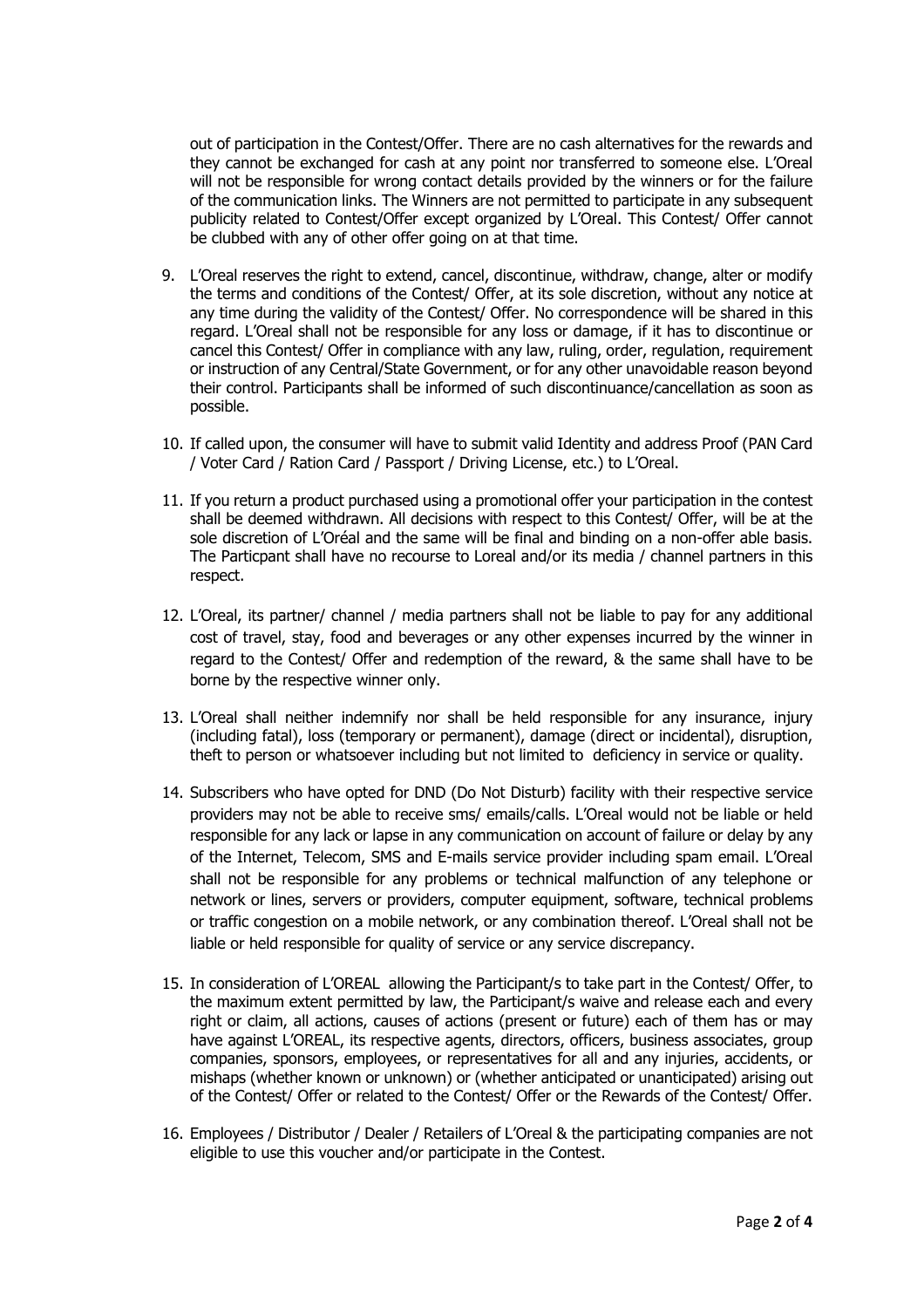out of participation in the Contest/Offer. There are no cash alternatives for the rewards and they cannot be exchanged for cash at any point nor transferred to someone else. L'Oreal will not be responsible for wrong contact details provided by the winners or for the failure of the communication links. The Winners are not permitted to participate in any subsequent publicity related to Contest/Offer except organized by L'Oreal. This Contest/ Offer cannot be clubbed with any of other offer going on at that time.

- 9. L'Oreal reserves the right to extend, cancel, discontinue, withdraw, change, alter or modify the terms and conditions of the Contest/ Offer, at its sole discretion, without any notice at any time during the validity of the Contest/ Offer. No correspondence will be shared in this regard. L'Oreal shall not be responsible for any loss or damage, if it has to discontinue or cancel this Contest/ Offer in compliance with any law, ruling, order, regulation, requirement or instruction of any Central/State Government, or for any other unavoidable reason beyond their control. Participants shall be informed of such discontinuance/cancellation as soon as possible.
- 10. If called upon, the consumer will have to submit valid Identity and address Proof (PAN Card / Voter Card / Ration Card / Passport / Driving License, etc.) to L'Oreal.
- 11. If you return a product purchased using a promotional offer your participation in the contest shall be deemed withdrawn. All decisions with respect to this Contest/ Offer, will be at the sole discretion of L'Oréal and the same will be final and binding on a non-offer able basis. The Particpant shall have no recourse to Loreal and/or its media / channel partners in this respect.
- 12. L'Oreal, its partner/ channel / media partners shall not be liable to pay for any additional cost of travel, stay, food and beverages or any other expenses incurred by the winner in regard to the Contest/ Offer and redemption of the reward, & the same shall have to be borne by the respective winner only.
- 13. L'Oreal shall neither indemnify nor shall be held responsible for any insurance, injury (including fatal), loss (temporary or permanent), damage (direct or incidental), disruption, theft to person or whatsoever including but not limited to deficiency in service or quality.
- 14. Subscribers who have opted for DND (Do Not Disturb) facility with their respective service providers may not be able to receive sms/ emails/calls. L'Oreal would not be liable or held responsible for any lack or lapse in any communication on account of failure or delay by any of the Internet, Telecom, SMS and E-mails service provider including spam email. L'Oreal shall not be responsible for any problems or technical malfunction of any telephone or network or lines, servers or providers, computer equipment, software, technical problems or traffic congestion on a mobile network, or any combination thereof. L'Oreal shall not be liable or held responsible for quality of service or any service discrepancy.
- 15. In consideration of L'OREAL allowing the Participant/s to take part in the Contest/ Offer, to the maximum extent permitted by law, the Participant/s waive and release each and every right or claim, all actions, causes of actions (present or future) each of them has or may have against L'OREAL, its respective agents, directors, officers, business associates, group companies, sponsors, employees, or representatives for all and any injuries, accidents, or mishaps (whether known or unknown) or (whether anticipated or unanticipated) arising out of the Contest/ Offer or related to the Contest/ Offer or the Rewards of the Contest/ Offer.
- 16. Employees / Distributor / Dealer / Retailers of L'Oreal & the participating companies are not eligible to use this voucher and/or participate in the Contest.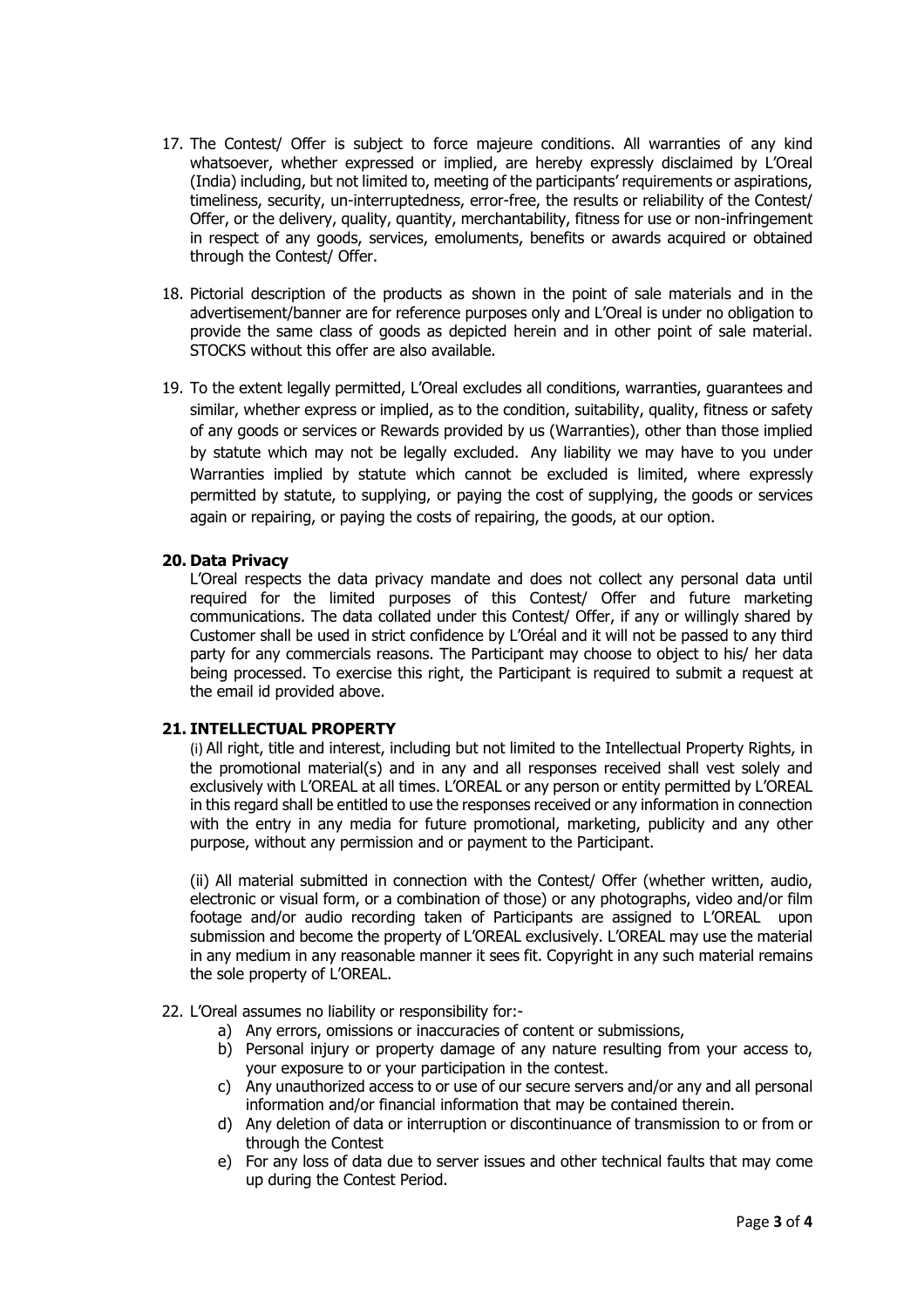- 17. The Contest/ Offer is subject to force majeure conditions. All warranties of any kind whatsoever, whether expressed or implied, are hereby expressly disclaimed by L'Oreal (India) including, but not limited to, meeting of the participants' requirements or aspirations, timeliness, security, un-interruptedness, error-free, the results or reliability of the Contest/ Offer, or the delivery, quality, quantity, merchantability, fitness for use or non-infringement in respect of any goods, services, emoluments, benefits or awards acquired or obtained through the Contest/ Offer.
- 18. Pictorial description of the products as shown in the point of sale materials and in the advertisement/banner are for reference purposes only and L'Oreal is under no obligation to provide the same class of goods as depicted herein and in other point of sale material. STOCKS without this offer are also available.
- 19. To the extent legally permitted, L'Oreal excludes all conditions, warranties, guarantees and similar, whether express or implied, as to the condition, suitability, quality, fitness or safety of any goods or services or Rewards provided by us (Warranties), other than those implied by statute which may not be legally excluded. Any liability we may have to you under Warranties implied by statute which cannot be excluded is limited, where expressly permitted by statute, to supplying, or paying the cost of supplying, the goods or services again or repairing, or paying the costs of repairing, the goods, at our option.

# **20. Data Privacy**

L'Oreal respects the data privacy mandate and does not collect any personal data until required for the limited purposes of this Contest/ Offer and future marketing communications. The data collated under this Contest/ Offer, if any or willingly shared by Customer shall be used in strict confidence by L'Oréal and it will not be passed to any third party for any commercials reasons. The Participant may choose to object to his/ her data being processed. To exercise this right, the Participant is required to submit a request at the email id provided above.

# **21. INTELLECTUAL PROPERTY**

(i) All right, title and interest, including but not limited to the Intellectual Property Rights, in the promotional material(s) and in any and all responses received shall vest solely and exclusively with L'OREAL at all times. L'OREAL or any person or entity permitted by L'OREAL in this regard shall be entitled to use the responses received or any information in connection with the entry in any media for future promotional, marketing, publicity and any other purpose, without any permission and or payment to the Participant.

(ii) All material submitted in connection with the Contest/ Offer (whether written, audio, electronic or visual form, or a combination of those) or any photographs, video and/or film footage and/or audio recording taken of Participants are assigned to L'OREAL upon submission and become the property of L'OREAL exclusively. L'OREAL may use the material in any medium in any reasonable manner it sees fit. Copyright in any such material remains the sole property of L'OREAL.

#### 22. L'Oreal assumes no liability or responsibility for:-

- a) Any errors, omissions or inaccuracies of content or submissions,
- b) Personal injury or property damage of any nature resulting from your access to, your exposure to or your participation in the contest.
- c) Any unauthorized access to or use of our secure servers and/or any and all personal information and/or financial information that may be contained therein.
- d) Any deletion of data or interruption or discontinuance of transmission to or from or through the Contest
- e) For any loss of data due to server issues and other technical faults that may come up during the Contest Period.